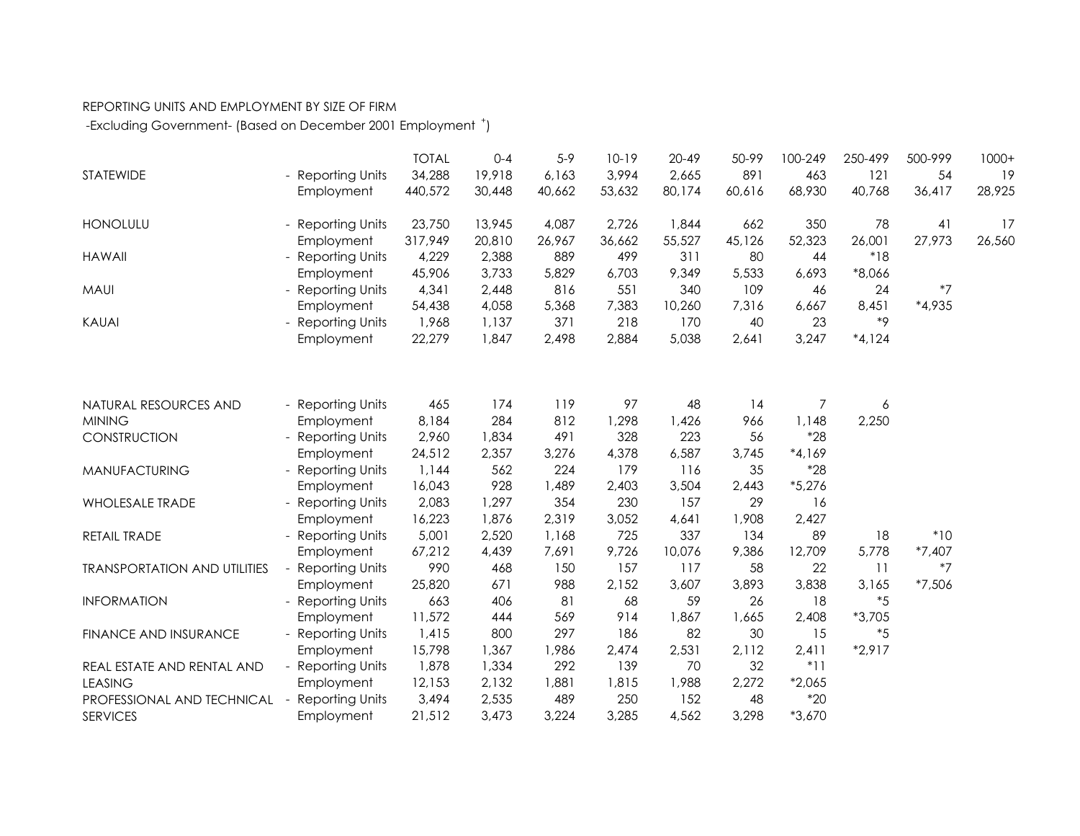## REPORTING UNITS AND EMPLOYMENT BY SIZE OF FIRM

-Excluding Government- (Based on December 2001 Employment <sup>+</sup>)

|                                     |                        | <b>TOTAL</b> | $0 - 4$ | $5 - 9$ | $10-19$ | $20 - 49$ | 50-99  | 100-249  | 250-499  | 500-999  | $1000+$ |
|-------------------------------------|------------------------|--------------|---------|---------|---------|-----------|--------|----------|----------|----------|---------|
| STATEWIDE                           | - Reporting Units      | 34,288       | 19,918  | 6,163   | 3,994   | 2,665     | 891    | 463      | 121      | 54       | 19      |
|                                     | Employment             | 440,572      | 30,448  | 40,662  | 53,632  | 80,174    | 60,616 | 68,930   | 40,768   | 36,417   | 28,925  |
| <b>HONOLULU</b>                     | - Reporting Units      | 23,750       | 13,945  | 4,087   | 2,726   | 1,844     | 662    | 350      | 78       | 41       | 17      |
|                                     | Employment             | 317,949      | 20,810  | 26,967  | 36,662  | 55,527    | 45,126 | 52,323   | 26,001   | 27,973   | 26,560  |
| <b>HAWAII</b>                       | <b>Reporting Units</b> | 4,229        | 2,388   | 889     | 499     | 311       | 80     | 44       | $*18$    |          |         |
|                                     | Employment             | 45,906       | 3,733   | 5,829   | 6,703   | 9,349     | 5,533  | 6,693    | *8,066   |          |         |
| MAUI                                | - Reporting Units      | 4,341        | 2,448   | 816     | 551     | 340       | 109    | 46       | 24       | $*7$     |         |
|                                     | Employment             | 54,438       | 4,058   | 5,368   | 7,383   | 10,260    | 7,316  | 6,667    | 8,451    | $*4,935$ |         |
| KAUAI                               | <b>Reporting Units</b> | 1,968        | 1,137   | 371     | 218     | 170       | 40     | 23       | $*9$     |          |         |
|                                     | Employment             | 22,279       | 1,847   | 2,498   | 2,884   | 5,038     | 2,641  | 3,247    | $*4,124$ |          |         |
|                                     |                        |              |         |         |         |           |        |          |          |          |         |
| NATURAL RESOURCES AND               | - Reporting Units      | 465          | 174     | 119     | 97      | 48        | 14     | 7        | 6        |          |         |
| <b>MINING</b>                       | Employment             | 8,184        | 284     | 812     | 1,298   | 1,426     | 966    | 1,148    | 2,250    |          |         |
| CONSTRUCTION                        | - Reporting Units      | 2,960        | 1,834   | 491     | 328     | 223       | 56     | $*28$    |          |          |         |
|                                     | Employment             | 24,512       | 2,357   | 3,276   | 4,378   | 6,587     | 3,745  | $*4,169$ |          |          |         |
| <b>MANUFACTURING</b>                | <b>Reporting Units</b> | 1,144        | 562     | 224     | 179     | 116       | 35     | $*28$    |          |          |         |
|                                     | Employment             | 16,043       | 928     | 1,489   | 2,403   | 3,504     | 2,443  | $*5,276$ |          |          |         |
| <b>WHOLESALE TRADE</b>              | <b>Reporting Units</b> | 2,083        | 1,297   | 354     | 230     | 157       | 29     | 16       |          |          |         |
|                                     | Employment             | 16,223       | 1,876   | 2,319   | 3,052   | 4,641     | 1,908  | 2,427    |          |          |         |
| RETAIL TRADE                        | <b>Reporting Units</b> | 5,001        | 2,520   | 1,168   | 725     | 337       | 134    | 89       | 18       | $*10$    |         |
|                                     | Employment             | 67,212       | 4,439   | 7,691   | 9,726   | 10,076    | 9,386  | 12,709   | 5,778    | $*7,407$ |         |
| <b>TRANSPORTATION AND UTILITIES</b> | <b>Reporting Units</b> | 990          | 468     | 150     | 157     | 117       | 58     | 22       | 11       | $*7$     |         |
|                                     | Employment             | 25,820       | 671     | 988     | 2,152   | 3,607     | 3,893  | 3,838    | 3,165    | $*7,506$ |         |
| <b>INFORMATION</b>                  | <b>Reporting Units</b> | 663          | 406     | 81      | 68      | 59        | 26     | 18       | $*5$     |          |         |
|                                     | Employment             | 11,572       | 444     | 569     | 914     | 1,867     | 1,665  | 2,408    | $*3,705$ |          |         |
| <b>FINANCE AND INSURANCE</b>        | - Reporting Units      | 1,415        | 800     | 297     | 186     | 82        | 30     | 15       | $*5$     |          |         |
|                                     | Employment             | 15,798       | 1,367   | 1,986   | 2,474   | 2,531     | 2,112  | 2,411    | $*2,917$ |          |         |
| REAL ESTATE AND RENTAL AND          | - Reporting Units      | 1,878        | 1,334   | 292     | 139     | 70        | 32     | $*11$    |          |          |         |
| <b>LEASING</b>                      | Employment             | 12,153       | 2,132   | 1,881   | 1,815   | 1,988     | 2,272  | $*2,065$ |          |          |         |
| PROFESSIONAL AND TECHNICAL          | <b>Reporting Units</b> | 3,494        | 2,535   | 489     | 250     | 152       | 48     | $*20$    |          |          |         |
| <b>SERVICES</b>                     | Employment             | 21,512       | 3,473   | 3,224   | 3,285   | 4,562     | 3,298  | $*3,670$ |          |          |         |